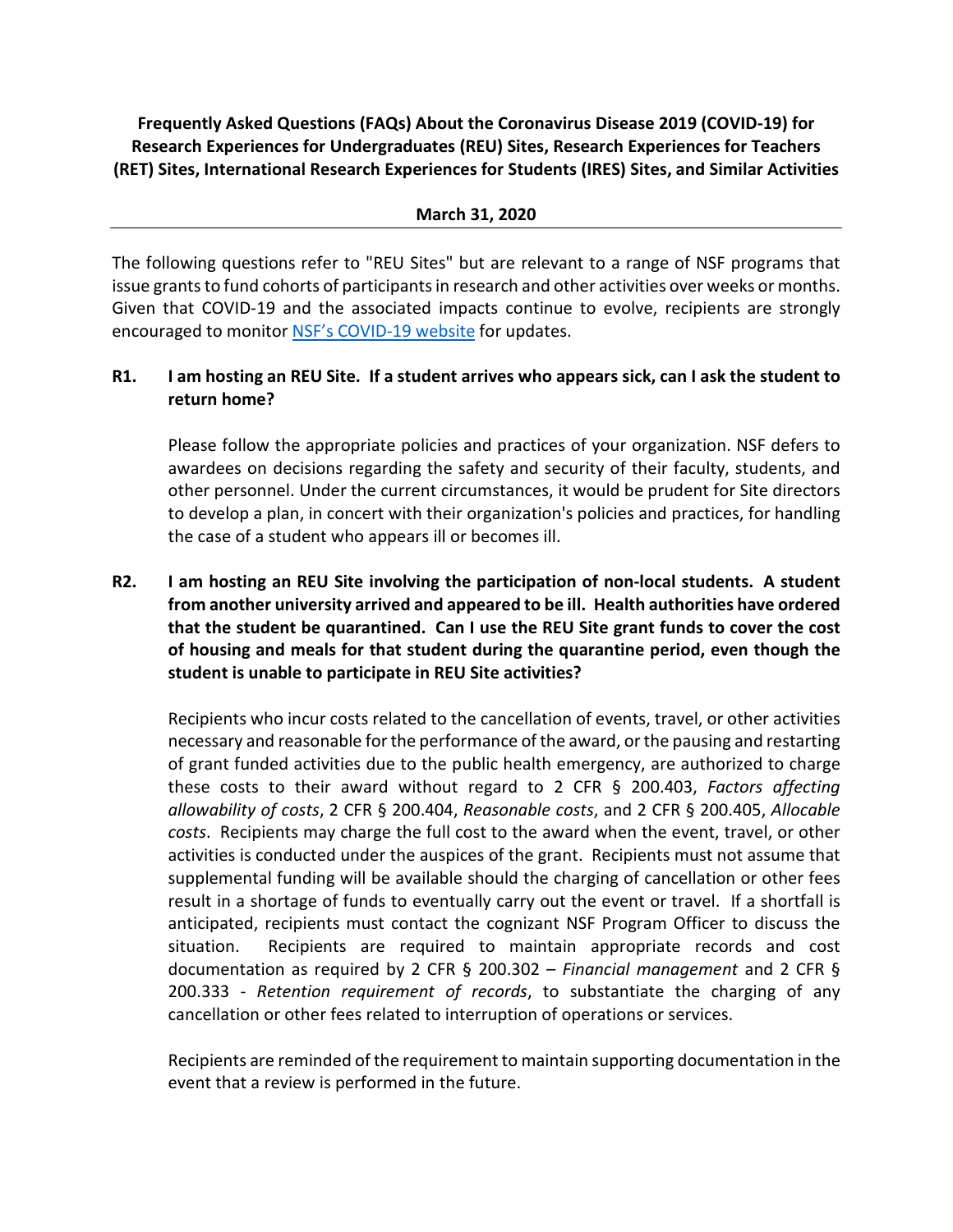**Frequently Asked Questions (FAQs) About the Coronavirus Disease 2019 (COVID-19) for Research Experiences for Undergraduates (REU) Sites, Research Experiences for Teachers (RET) Sites, International Research Experiences for Students (IRES) Sites, and Similar Activities**

#### **March 31, 2020**

The following questions refer to "REU Sites" but are relevant to a range of NSF programs that issue grants to fund cohorts of participants in research and other activities over weeks or months. Given that COVID-19 and the associated impacts continue to evolve, recipients are strongly encouraged to monitor NSF's [COVID-19 website](https://www.nsf.gov/news/special_reports/coronavirus/) for updates.

## **R1. I am hosting an REU Site. If a student arrives who appears sick, can I ask the student to return home?**

Please follow the appropriate policies and practices of your organization. NSF defers to awardees on decisions regarding the safety and security of their faculty, students, and other personnel. Under the current circumstances, it would be prudent for Site directors to develop a plan, in concert with their organization's policies and practices, for handling the case of a student who appears ill or becomes ill.

**R2. I am hosting an REU Site involving the participation of non-local students. A student from another university arrived and appeared to be ill. Health authorities have ordered that the student be quarantined. Can I use the REU Site grant funds to cover the cost of housing and meals for that student during the quarantine period, even though the student is unable to participate in REU Site activities?**

Recipients who incur costs related to the cancellation of events, travel, or other activities necessary and reasonable for the performance of the award, or the pausing and restarting of grant funded activities due to the public health emergency, are authorized to charge these costs to their award without regard to 2 CFR § 200.403, *Factors affecting allowability of costs*, 2 CFR § 200.404, *Reasonable costs*, and 2 CFR § 200.405, *Allocable costs*. Recipients may charge the full cost to the award when the event, travel, or other activities is conducted under the auspices of the grant. Recipients must not assume that supplemental funding will be available should the charging of cancellation or other fees result in a shortage of funds to eventually carry out the event or travel. If a shortfall is anticipated, recipients must contact the cognizant NSF Program Officer to discuss the situation. Recipients are required to maintain appropriate records and cost documentation as required by 2 CFR § 200.302 – *Financial management* and 2 CFR § 200.333 - *Retention requirement of records*, to substantiate the charging of any cancellation or other fees related to interruption of operations or services.

Recipients are reminded of the requirement to maintain supporting documentation in the event that a review is performed in the future.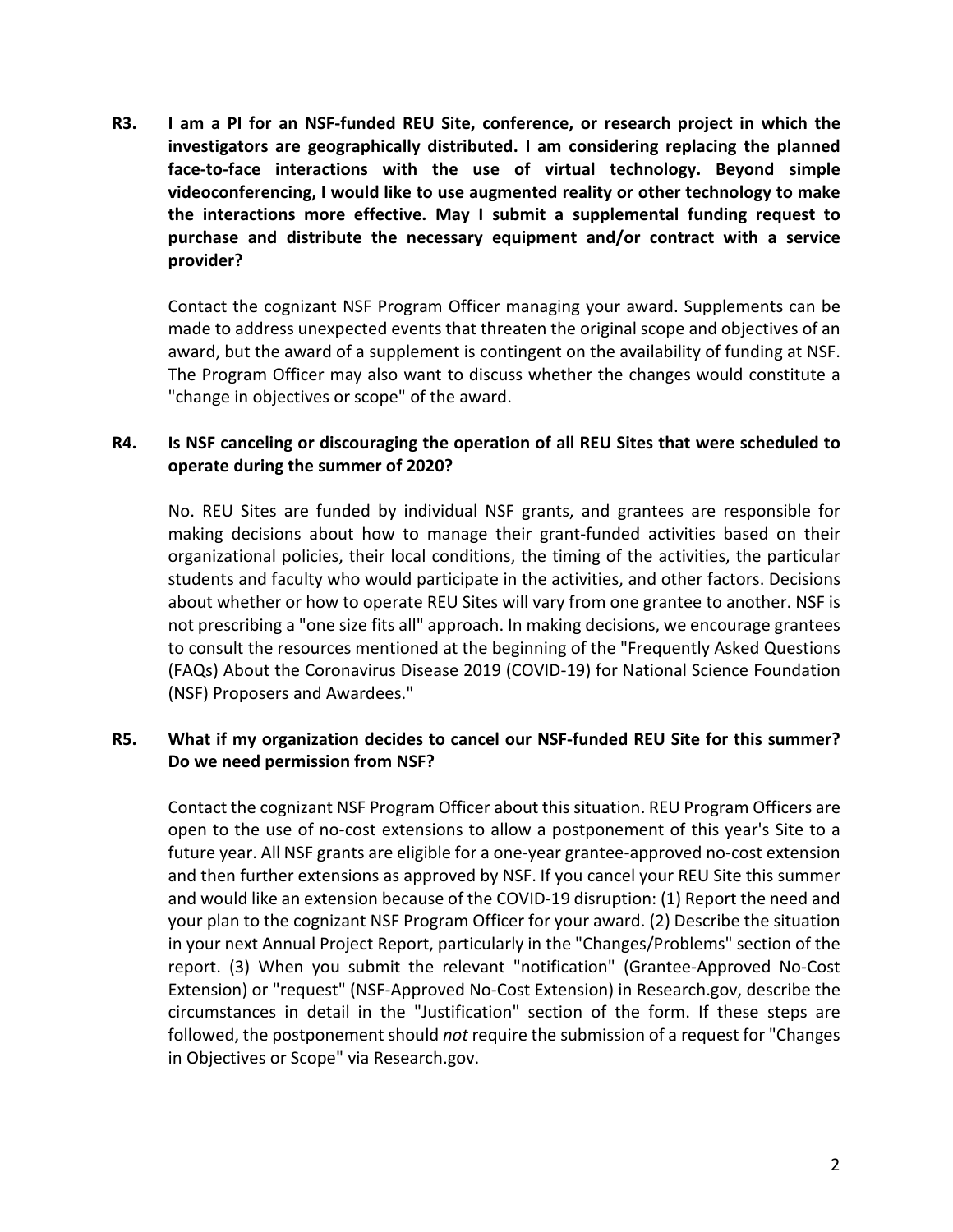**R3. I am a PI for an NSF-funded REU Site, conference, or research project in which the investigators are geographically distributed. I am considering replacing the planned face-to-face interactions with the use of virtual technology. Beyond simple videoconferencing, I would like to use augmented reality or other technology to make the interactions more effective. May I submit a supplemental funding request to purchase and distribute the necessary equipment and/or contract with a service provider?**

Contact the cognizant NSF Program Officer managing your award. Supplements can be made to address unexpected events that threaten the original scope and objectives of an award, but the award of a supplement is contingent on the availability of funding at NSF. The Program Officer may also want to discuss whether the changes would constitute a "change in objectives or scope" of the award.

## **R4. Is NSF canceling or discouraging the operation of all REU Sites that were scheduled to operate during the summer of 2020?**

No. REU Sites are funded by individual NSF grants, and grantees are responsible for making decisions about how to manage their grant-funded activities based on their organizational policies, their local conditions, the timing of the activities, the particular students and faculty who would participate in the activities, and other factors. Decisions about whether or how to operate REU Sites will vary from one grantee to another. NSF is not prescribing a "one size fits all" approach. In making decisions, we encourage grantees to consult the resources mentioned at the beginning of the "Frequently Asked Questions (FAQs) About the Coronavirus Disease 2019 (COVID-19) for National Science Foundation (NSF) Proposers and Awardees."

#### **R5. What if my organization decides to cancel our NSF-funded REU Site for this summer? Do we need permission from NSF?**

Contact the cognizant NSF Program Officer about this situation. REU Program Officers are open to the use of no-cost extensions to allow a postponement of this year's Site to a future year. All NSF grants are eligible for a one-year grantee-approved no-cost extension and then further extensions as approved by NSF. If you cancel your REU Site this summer and would like an extension because of the COVID-19 disruption: (1) Report the need and your plan to the cognizant NSF Program Officer for your award. (2) Describe the situation in your next Annual Project Report, particularly in the "Changes/Problems" section of the report. (3) When you submit the relevant "notification" (Grantee-Approved No-Cost Extension) or "request" (NSF-Approved No-Cost Extension) in Research.gov, describe the circumstances in detail in the "Justification" section of the form. If these steps are followed, the postponement should *not* require the submission of a request for "Changes in Objectives or Scope" via Research.gov.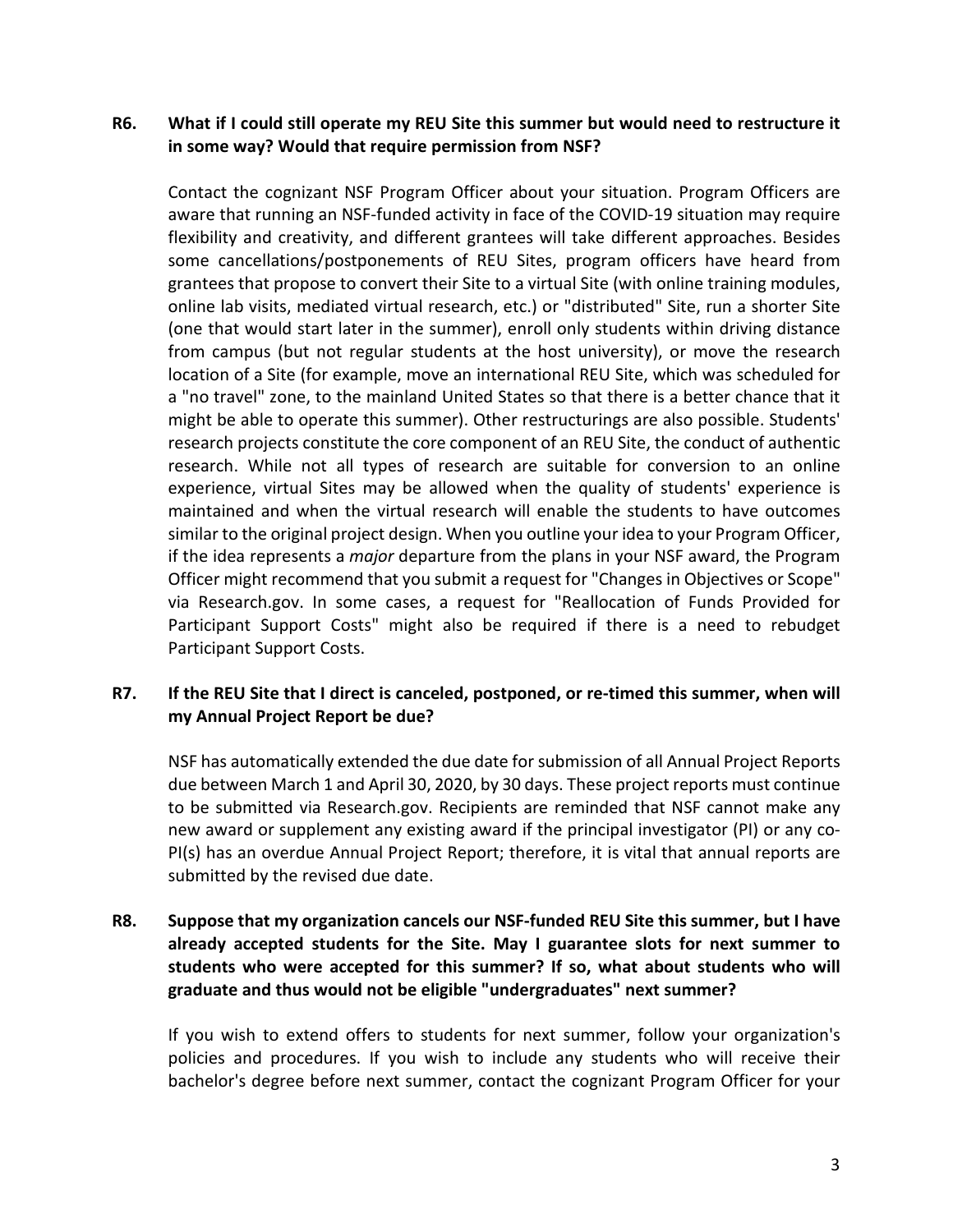## **R6. What if I could still operate my REU Site this summer but would need to restructure it in some way? Would that require permission from NSF?**

Contact the cognizant NSF Program Officer about your situation. Program Officers are aware that running an NSF-funded activity in face of the COVID-19 situation may require flexibility and creativity, and different grantees will take different approaches. Besides some cancellations/postponements of REU Sites, program officers have heard from grantees that propose to convert their Site to a virtual Site (with online training modules, online lab visits, mediated virtual research, etc.) or "distributed" Site, run a shorter Site (one that would start later in the summer), enroll only students within driving distance from campus (but not regular students at the host university), or move the research location of a Site (for example, move an international REU Site, which was scheduled for a "no travel" zone, to the mainland United States so that there is a better chance that it might be able to operate this summer). Other restructurings are also possible. Students' research projects constitute the core component of an REU Site, the conduct of authentic research. While not all types of research are suitable for conversion to an online experience, virtual Sites may be allowed when the quality of students' experience is maintained and when the virtual research will enable the students to have outcomes similar to the original project design. When you outline your idea to your Program Officer, if the idea represents a *major* departure from the plans in your NSF award, the Program Officer might recommend that you submit a request for "Changes in Objectives or Scope" via Research.gov. In some cases, a request for "Reallocation of Funds Provided for Participant Support Costs" might also be required if there is a need to rebudget Participant Support Costs.

#### **R7. If the REU Site that I direct is canceled, postponed, or re-timed this summer, when will my Annual Project Report be due?**

NSF has automatically extended the due date for submission of all Annual Project Reports due between March 1 and April 30, 2020, by 30 days. These project reports must continue to be submitted via Research.gov. Recipients are reminded that NSF cannot make any new award or supplement any existing award if the principal investigator (PI) or any co-PI(s) has an overdue Annual Project Report; therefore, it is vital that annual reports are submitted by the revised due date.

# **R8. Suppose that my organization cancels our NSF-funded REU Site this summer, but I have already accepted students for the Site. May I guarantee slots for next summer to students who were accepted for this summer? If so, what about students who will graduate and thus would not be eligible "undergraduates" next summer?**

If you wish to extend offers to students for next summer, follow your organization's policies and procedures. If you wish to include any students who will receive their bachelor's degree before next summer, contact the cognizant Program Officer for your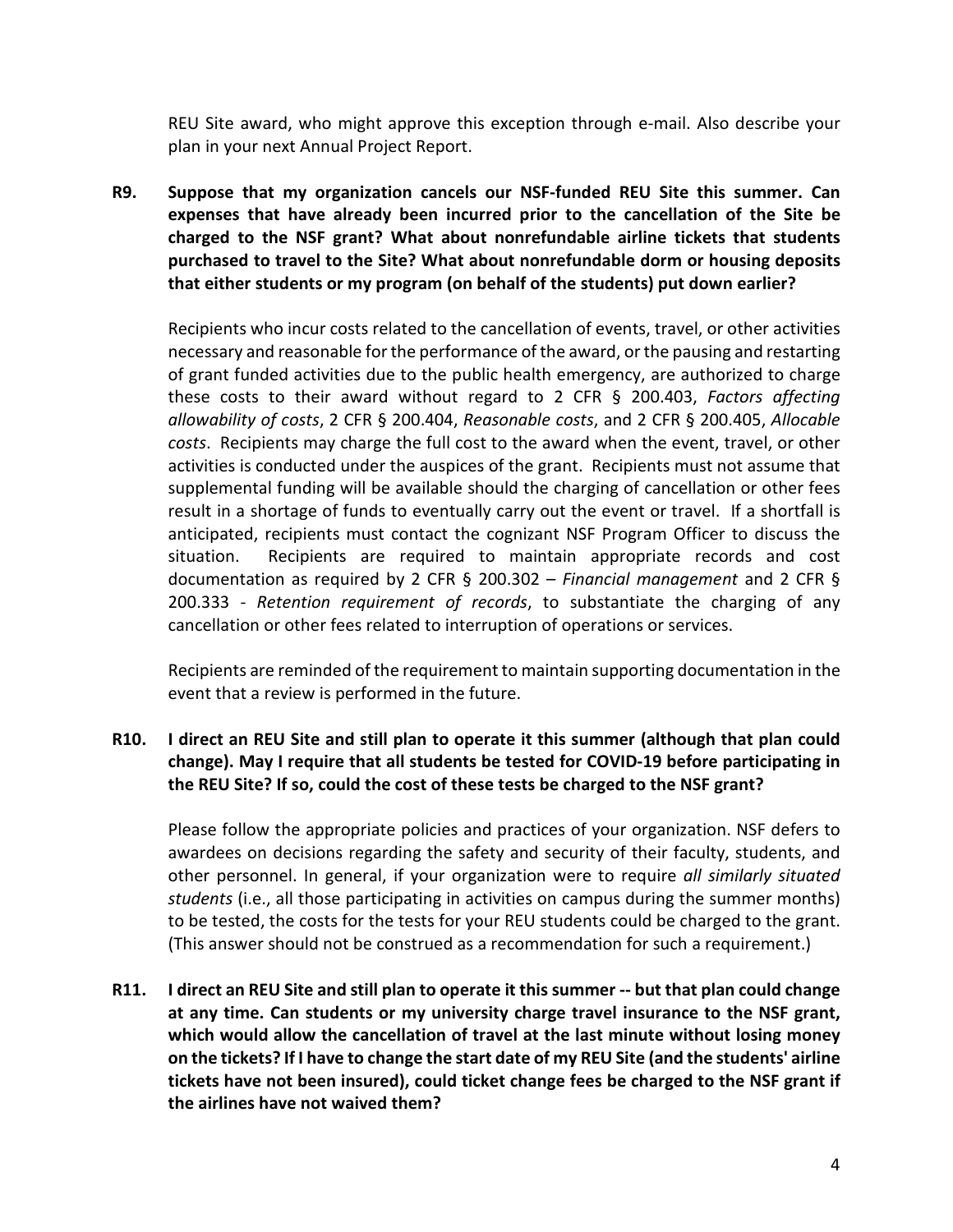REU Site award, who might approve this exception through e-mail. Also describe your plan in your next Annual Project Report.

**R9. Suppose that my organization cancels our NSF-funded REU Site this summer. Can expenses that have already been incurred prior to the cancellation of the Site be charged to the NSF grant? What about nonrefundable airline tickets that students purchased to travel to the Site? What about nonrefundable dorm or housing deposits that either students or my program (on behalf of the students) put down earlier?**

Recipients who incur costs related to the cancellation of events, travel, or other activities necessary and reasonable for the performance of the award, or the pausing and restarting of grant funded activities due to the public health emergency, are authorized to charge these costs to their award without regard to 2 CFR § 200.403, *Factors affecting allowability of costs*, 2 CFR § 200.404, *Reasonable costs*, and 2 CFR § 200.405, *Allocable costs*. Recipients may charge the full cost to the award when the event, travel, or other activities is conducted under the auspices of the grant. Recipients must not assume that supplemental funding will be available should the charging of cancellation or other fees result in a shortage of funds to eventually carry out the event or travel. If a shortfall is anticipated, recipients must contact the cognizant NSF Program Officer to discuss the situation. Recipients are required to maintain appropriate records and cost documentation as required by 2 CFR § 200.302 – *Financial management* and 2 CFR § 200.333 - *Retention requirement of records*, to substantiate the charging of any cancellation or other fees related to interruption of operations or services.

Recipients are reminded of the requirement to maintain supporting documentation in the event that a review is performed in the future.

# **R10. I direct an REU Site and still plan to operate it this summer (although that plan could change). May I require that all students be tested for COVID-19 before participating in the REU Site? If so, could the cost of these tests be charged to the NSF grant?**

Please follow the appropriate policies and practices of your organization. NSF defers to awardees on decisions regarding the safety and security of their faculty, students, and other personnel. In general, if your organization were to require *all similarly situated students* (i.e., all those participating in activities on campus during the summer months) to be tested, the costs for the tests for your REU students could be charged to the grant. (This answer should not be construed as a recommendation for such a requirement.)

**R11. I direct an REU Site and still plan to operate it this summer -- but that plan could change at any time. Can students or my university charge travel insurance to the NSF grant, which would allow the cancellation of travel at the last minute without losing money on the tickets? If I have to change the start date of my REU Site (and the students' airline tickets have not been insured), could ticket change fees be charged to the NSF grant if the airlines have not waived them?**